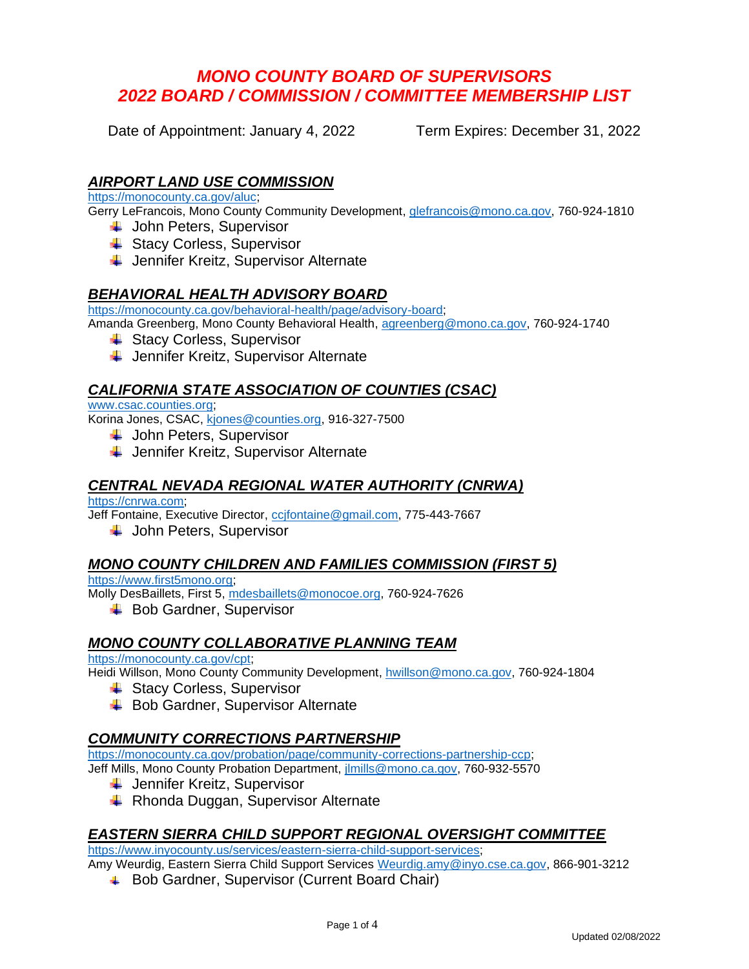# *MONO COUNTY BOARD OF SUPERVISORS 2022 BOARD / COMMISSION / COMMITTEE MEMBERSHIP LIST*

Date of Appointment: January 4, 2022 Term Expires: December 31, 2022

### *AIRPORT LAND USE COMMISSION*

[https://monocounty.ca.gov/aluc;](https://monocounty.ca.gov/aluc)

Gerry LeFrancois, Mono County Community Development, [glefrancois@mono.ca.gov,](mailto:glefrancois@mono.ca.gov) 760-924-1810

- **↓** John Peters, Supervisor
- **↓ Stacy Corless, Supervisor**
- **↓** Jennifer Kreitz, Supervisor Alternate

### *BEHAVIORAL HEALTH ADVISORY BOARD*

[https://monocounty.ca.gov/behavioral-health/page/advisory-board;](https://monocounty.ca.gov/behavioral-health/page/advisory-board)

Amanda Greenberg, Mono County Behavioral Health, [agreenberg@mono.ca.gov,](mailto:agreenberg@mono.ca.gov) 760-924-1740

- **↓ Stacy Corless, Supervisor**
- **↓** Jennifer Kreitz, Supervisor Alternate

### *CALIFORNIA STATE ASSOCIATION OF COUNTIES (CSAC)*

#### [www.csac.counties.org;](http://www.counties.org/)

Korina Jones, CSAC, [kjones@counties.org,](mailto:kjones@counties.org) 916-327-7500

- **John Peters, Supervisor**
- $\frac{1}{\sqrt{2}}$  Jennifer Kreitz, Supervisor Alternate

### *CENTRAL NEVADA REGIONAL WATER AUTHORITY (CNRWA)*

[https://cnrwa.com;](https://cnrwa.com/) Jeff Fontaine, Executive Director, [ccjfontaine@gmail.com,](mailto:ccjfontaine@gmail.com) 775-443-7667

**↓** John Peters, Supervisor

### *MONO COUNTY CHILDREN AND FAMILIES COMMISSION (FIRST 5)*

[https://www.first5mono.org;](https://www.first5mono.org/)

Molly DesBaillets, First 5, [mdesbaillets@monocoe.org,](mailto:mdesbaillets@monocoe.org) 760-924-7626

**↓** Bob Gardner, Supervisor

### *MONO COUNTY COLLABORATIVE PLANNING TEAM*

[https://monocounty.ca.gov/cpt;](https://monocounty.ca.gov/cpt)

Heidi Willson, Mono County Community Development, [hwillson@mono.ca.gov,](mailto:hwillson@mono.ca.gov) 760-924-1804

- **↓ Stacy Corless, Supervisor**
- **↓** Bob Gardner, Supervisor Alternate

### *COMMUNITY CORRECTIONS PARTNERSHIP*

[https://monocounty.ca.gov/probation/page/community-corrections-partnership-ccp;](https://monocounty.ca.gov/probation/page/community-corrections-partnership-ccp)

Jeff Mills, Mono County Probation Department, [jlmills@mono.ca.gov,](mailto:jlmills@mono.ca.gov) 760-932-5570

- $\downarrow$  Jennifer Kreitz, Supervisor
- **↓** Rhonda Duggan, Supervisor Alternate

### *EASTERN SIERRA CHILD SUPPORT REGIONAL OVERSIGHT COMMITTEE*

[https://www.inyocounty.us/services/eastern-sierra-child-support-services;](https://www.inyocounty.us/services/eastern-sierra-child-support-services)

Amy Weurdig, Eastern Sierra Child Support Services [Weurdig.amy@inyo.cse.ca.gov,](mailto:Weurdig.amy@inyo.cse.ca.gov) 866-901-3212

**↓** Bob Gardner, Supervisor (Current Board Chair)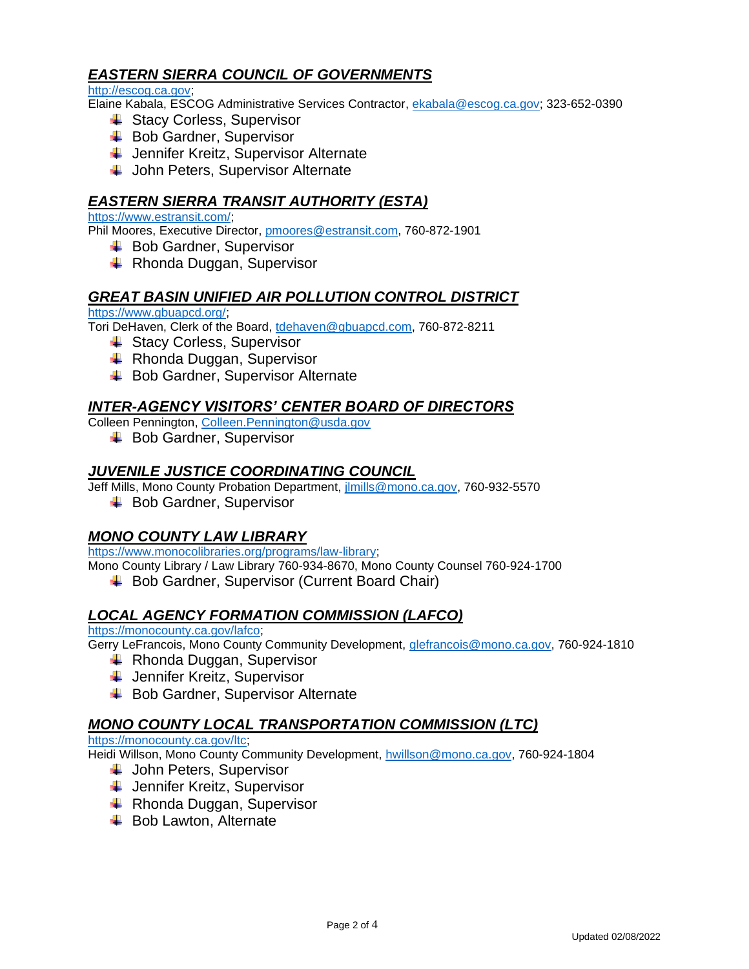## *EASTERN SIERRA COUNCIL OF GOVERNMENTS*

[http://escog.ca.gov;](http://escog.ca.gov/)

Elaine Kabala, ESCOG Administrative Services Contractor, [ekabala@escog.ca.gov;](mailto:ekabala@escog.ca.gov) 323-652-0390

- **↓ Stacy Corless, Supervisor**
- $\leftarrow$  Bob Gardner, Supervisor
- ↓ Jennifer Kreitz, Supervisor Alternate
- **↓** John Peters, Supervisor Alternate

## *EASTERN SIERRA TRANSIT AUTHORITY (ESTA)*

#### [https://www.estransit.com/;](https://www.estransit.com/)

Phil Moores, Executive Director, [pmoores@estransit.com,](mailto:pmoores@estransit.com) 760-872-1901

- $\leftarrow$  Bob Gardner, Supervisor
- $\leftarrow$  Rhonda Duggan, Supervisor

### *GREAT BASIN UNIFIED AIR POLLUTION CONTROL DISTRICT*

[https://www.gbuapcd.org/;](https://www.gbuapcd.org/)

Tori DeHaven, Clerk of the Board, [tdehaven@gbuapcd.com,](mailto:tdehaven@gbuapcd.com) 760-872-8211

- **↓ Stacy Corless, Supervisor**
- $\leftarrow$  Rhonda Duggan, Supervisor
- $\overline{\phantom{a}}$  Bob Gardner, Supervisor Alternate

### *INTER-AGENCY VISITORS' CENTER BOARD OF DIRECTORS*

Colleen Pennington, [Colleen.Pennington@usda.gov](mailto:Colleen.Pennington@usda.gov)

**↓** Bob Gardner, Supervisor

## *JUVENILE JUSTICE COORDINATING COUNCIL*

Jeff Mills, Mono County Probation Department, [jlmills@mono.ca.gov,](mailto:jlmills@mono.ca.gov) 760-932-5570

**↓** Bob Gardner, Supervisor

### *MONO COUNTY LAW LIBRARY*

[https://www.monocolibraries.org/programs/law-library;](https://www.monocolibraries.org/programs/law-library)

Mono County Library / Law Library 760-934-8670, Mono County Counsel 760-924-1700

**↓ Bob Gardner, Supervisor (Current Board Chair)** 

### *LOCAL AGENCY FORMATION COMMISSION (LAFCO)*

[https://monocounty.ca.gov/lafco;](https://monocounty.ca.gov/lafco)

Gerry LeFrancois, Mono County Community Development, [glefrancois@mono.ca.gov,](mailto:glefrancois@mono.ca.gov) 760-924-1810

- **EXEC** Rhonda Duggan, Supervisor
- **↓** Jennifer Kreitz, Supervisor
- $\leftarrow$  Bob Gardner, Supervisor Alternate

### *MONO COUNTY LOCAL TRANSPORTATION COMMISSION (LTC)*

#### [https://monocounty.ca.gov/ltc;](https://monocounty.ca.gov/ltc)

Heidi Willson, Mono County Community Development, [hwillson@mono.ca.gov,](mailto:hwillson@mono.ca.gov) 760-924-1804

- **↓** John Peters, Supervisor
- **↓** Jennifer Kreitz, Supervisor
- $\leftarrow$  Rhonda Duggan, Supervisor
- $\overline{\phantom{a}}$  Bob Lawton, Alternate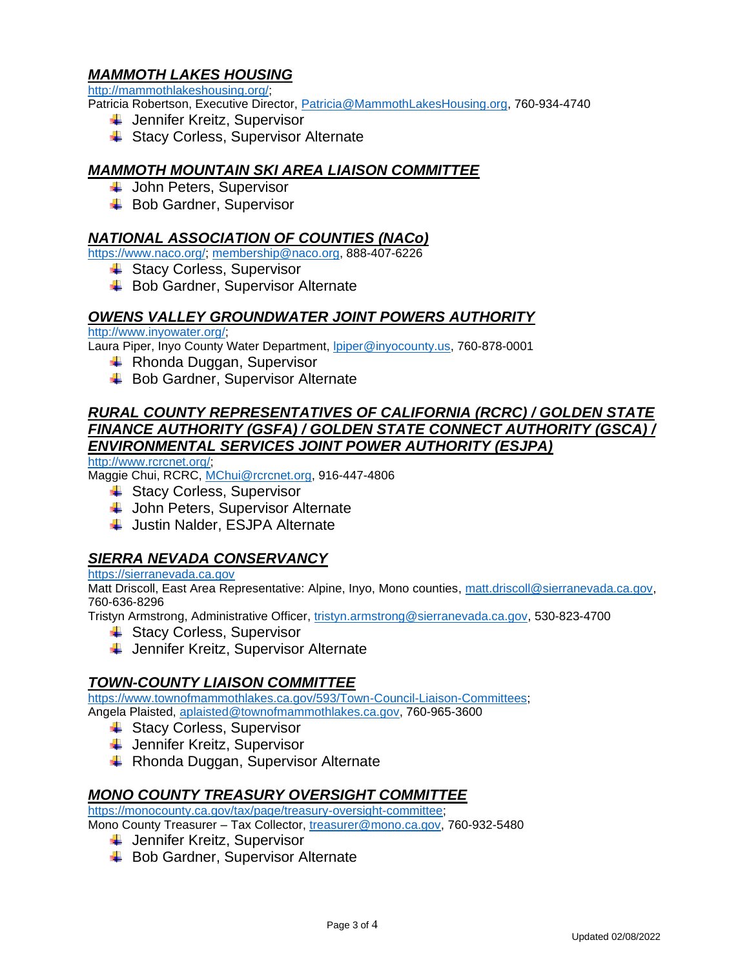## *MAMMOTH LAKES HOUSING*

[http://mammothlakeshousing.org/;](http://mammothlakeshousing.org/)

Patricia Robertson, Executive Director, [Patricia@MammothLakesHousing.org,](mailto:Patricia@MammothLakesHousing.org) 760-934-4740

- $\downarrow$  Jennifer Kreitz, Supervisor
- **↓ Stacy Corless, Supervisor Alternate**

## *MAMMOTH MOUNTAIN SKI AREA LIAISON COMMITTEE*

- $\overline{\phantom{a}}$  John Peters, Supervisor
- **↓** Bob Gardner, Supervisor

### *NATIONAL ASSOCIATION OF COUNTIES (NACo)*

[https://www.naco.org/;](https://www.naco.org/) [membership@naco.org,](mailto:membership@naco.org) 888-407-6226

- **↓ Stacy Corless, Supervisor**
- **↓** Bob Gardner, Supervisor Alternate

### *OWENS VALLEY GROUNDWATER JOINT POWERS AUTHORITY*

[http://www.inyowater.org/;](http://www.inyowater.org/)

Laura Piper, Inyo County Water Department, *Ipiper@inyocounty.us*, 760-878-0001

- $\leftarrow$  Rhonda Duggan, Supervisor
- $\overline{\phantom{a}}$  Bob Gardner, Supervisor Alternate

## *RURAL COUNTY REPRESENTATIVES OF CALIFORNIA (RCRC) / GOLDEN STATE FINANCE AUTHORITY (GSFA) / GOLDEN STATE CONNECT AUTHORITY (GSCA) / ENVIRONMENTAL SERVICES JOINT POWER AUTHORITY (ESJPA)*

[http://www.rcrcnet.org/;](http://www.rcrcnet.org/)

Maggie Chui, RCRC, [MChui@rcrcnet.org,](mailto:MChui@rcrcnet.org) 916-447-4806

- **↓ Stacy Corless, Supervisor**
- **↓** John Peters, Supervisor Alternate
- **↓** Justin Nalder, ESJPA Alternate

### *SIERRA NEVADA CONSERVANCY*

#### [https://sierranevada.ca.gov](https://sierranevada.ca.gov/)

Matt Driscoll, East Area Representative: Alpine, Inyo, Mono counties, [matt.driscoll@sierranevada.ca.gov,](mailto:matt.driscoll@sierranevada.ca.gov) 760-636-8296

Tristyn Armstrong, Administrative Officer, [tristyn.armstrong@sierranevada.ca.gov,](mailto:tristyn.armstrong@sierranevada.ca.gov) 530-823-4700

- **↓ Stacy Corless, Supervisor**
- ↓ Jennifer Kreitz, Supervisor Alternate

### *TOWN-COUNTY LIAISON COMMITTEE*

[https://www.townofmammothlakes.ca.gov/593/Town-Council-Liaison-Committees;](https://www.townofmammothlakes.ca.gov/593/Town-Council-Liaison-Committees) Angela Plaisted, [aplaisted@townofmammothlakes.ca.gov,](mailto:aplaisted@townofmammothlakes.ca.gov) 760-965-3600

- **↓ Stacy Corless, Supervisor**
- $\downarrow$  Jennifer Kreitz, Supervisor
- $\leftarrow$  Rhonda Duggan, Supervisor Alternate

### *MONO COUNTY TREASURY OVERSIGHT COMMITTEE*

[https://monocounty.ca.gov/tax/page/treasury-oversight-committee;](https://monocounty.ca.gov/tax/page/treasury-oversight-committee)

Mono County Treasurer – Tax Collector, [treasurer@mono.ca.gov,](mailto:treasurer@mono.ca.gov) 760-932-5480

- **↓** Jennifer Kreitz, Supervisor
	- **↓** Bob Gardner, Supervisor Alternate